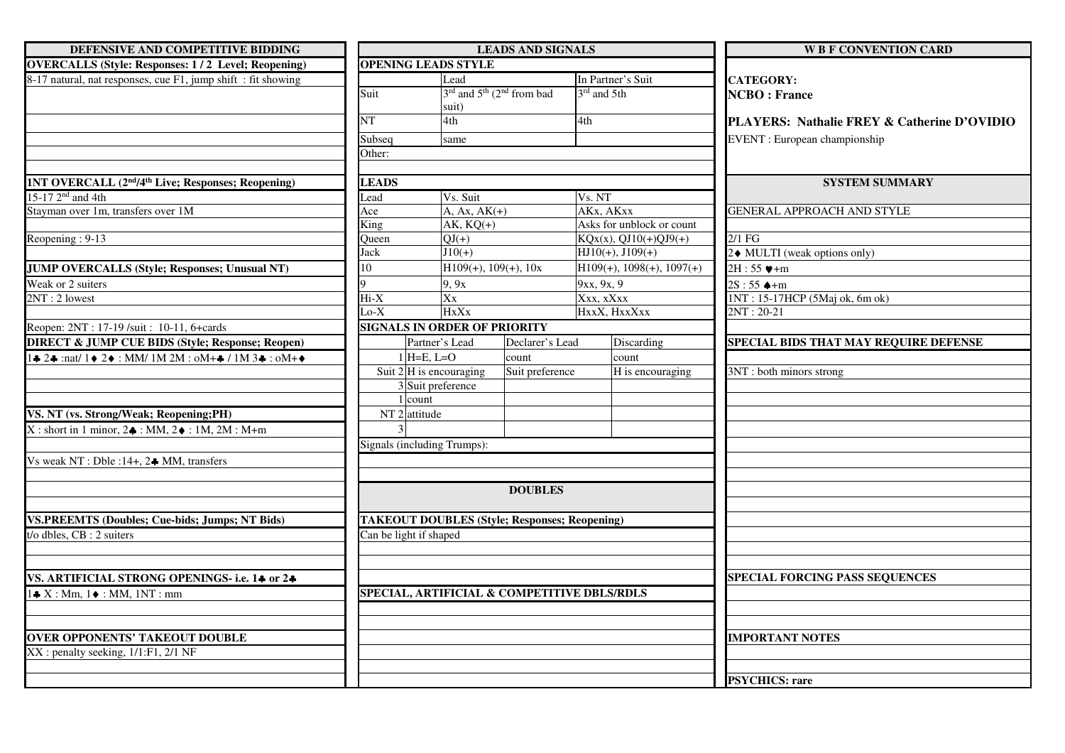| DEFENSIVE AND COMPETITIVE BIDDING                                                    | <b>LEADS AND SIGNALS</b>                                                       |                        |                                                               |                                               |                             | <b>WB F CONVENTION CARD</b>                 |  |
|--------------------------------------------------------------------------------------|--------------------------------------------------------------------------------|------------------------|---------------------------------------------------------------|-----------------------------------------------|-----------------------------|---------------------------------------------|--|
| <b>OVERCALLS (Style: Responses: 1/2 Level; Reopening)</b>                            | <b>OPENING LEADS STYLE</b>                                                     |                        |                                                               |                                               |                             |                                             |  |
| 8-17 natural, nat responses, cue F1, jump shift : fit showing                        |                                                                                | Lead                   |                                                               |                                               | In Partner's Suit           | <b>CATEGORY:</b>                            |  |
|                                                                                      | Suit                                                                           |                        | 3 <sup>rd</sup> and 5 <sup>th</sup> (2 <sup>nd</sup> from bad | 3rd and 5th                                   |                             | <b>NCBO</b> : France                        |  |
|                                                                                      |                                                                                | suit)                  |                                                               |                                               |                             |                                             |  |
|                                                                                      | NT                                                                             | 4th                    |                                                               | 4th                                           |                             | PLAYERS: Nathalie FREY & Catherine D'OVIDIO |  |
|                                                                                      | Subseq                                                                         | same                   |                                                               |                                               |                             | EVENT : European championship               |  |
|                                                                                      | Other:                                                                         |                        |                                                               |                                               |                             |                                             |  |
|                                                                                      |                                                                                |                        |                                                               |                                               |                             |                                             |  |
| 1NT OVERCALL (2 <sup>nd</sup> /4 <sup>th</sup> Live; Responses; Reopening)           | <b>LEADS</b>                                                                   |                        |                                                               | Vs. NT                                        | <b>SYSTEM SUMMARY</b>       |                                             |  |
| 15-17 2 <sup>nd</sup> and 4th                                                        | Lead                                                                           | Vs. Suit               |                                                               |                                               |                             |                                             |  |
| Stayman over 1m, transfers over 1M                                                   | Ace                                                                            | $A, Ax, AK(+)$         |                                                               | AKx, AKxx                                     |                             | <b>GENERAL APPROACH AND STYLE</b>           |  |
|                                                                                      | King                                                                           | $AK$ , $KQ(+)$         |                                                               | Asks for unblock or count                     |                             |                                             |  |
| Reopening: 9-13                                                                      | Queen<br>Jack                                                                  | $QJ(+)$<br>$J10(+)$    |                                                               | $KQx(x), QJ10(+)QJ9(+)$<br>$HI10(+), J109(+)$ |                             | $2/1$ FG                                    |  |
|                                                                                      |                                                                                |                        |                                                               |                                               |                             | 2♦ MULTI (weak options only)                |  |
| <b>JUMP OVERCALLS (Style; Responses; Unusual NT)</b>                                 | 10                                                                             | $H109(+), 109(+), 10x$ |                                                               |                                               | $H109(+), 1098(+), 1097(+)$ | $2H : 55$ ♥+m                               |  |
| Weak or 2 suiters                                                                    |                                                                                | 9, 9x                  |                                                               | 9xx, 9x, 9                                    |                             | $2S: 55 + m$                                |  |
| 2NT: 2 lowest                                                                        | $Hi-X$                                                                         | $\overline{X}X$        |                                                               | Xxx, xXxx                                     |                             | 1NT: 15-17HCP (5Maj ok, 6m ok)              |  |
|                                                                                      | $Lo-X$                                                                         | <b>HxXx</b>            |                                                               |                                               | HxxX, HxxXxx                | $2NT: 20-21$                                |  |
| Reopen: 2NT: 17-19 /suit: 10-11, 6+cards                                             | <b>SIGNALS IN ORDER OF PRIORITY</b>                                            | Partner's Lead         |                                                               |                                               |                             |                                             |  |
| <b>DIRECT &amp; JUMP CUE BIDS (Style; Response; Reopen)</b>                          | $1$ H=E, L=O                                                                   |                        | Declarer's Lead                                               |                                               | Discarding                  | SPECIAL BIDS THAT MAY REQUIRE DEFENSE       |  |
| $1 \cdot 2 \cdot 2$ : nat/ $1 \cdot 2 \cdot 1$ MM/ 1M 2M : oM+4/ 1M 34 : oM+ $\cdot$ | Suit $2 \times$ is encouraging                                                 |                        | count                                                         |                                               | count                       |                                             |  |
|                                                                                      |                                                                                | 3 Suit preference      | Suit preference                                               |                                               | H is encouraging            | 3NT: both minors strong                     |  |
|                                                                                      | count                                                                          |                        |                                                               |                                               |                             |                                             |  |
| VS. NT (vs. Strong/Weak; Reopening;PH)                                               | NT <sub>2</sub> attitude                                                       |                        |                                                               |                                               |                             |                                             |  |
| $X:$ short in 1 minor, $2\clubsuit : MM$ , $2\spadesuit : 1M$ , $2M : M+m$           |                                                                                |                        |                                                               |                                               |                             |                                             |  |
|                                                                                      | Signals (including Trumps):                                                    |                        |                                                               |                                               |                             |                                             |  |
| Vs weak NT : Dble : $14+$ , $2\clubsuit$ MM, transfers                               |                                                                                |                        |                                                               |                                               |                             |                                             |  |
|                                                                                      |                                                                                |                        |                                                               |                                               |                             |                                             |  |
|                                                                                      |                                                                                |                        | <b>DOUBLES</b>                                                |                                               |                             |                                             |  |
|                                                                                      |                                                                                |                        |                                                               |                                               |                             |                                             |  |
| <b>VS.PREEMTS (Doubles; Cue-bids; Jumps; NT Bids)</b>                                |                                                                                |                        |                                                               |                                               |                             |                                             |  |
| t/o dbles, CB : 2 suiters                                                            | <b>TAKEOUT DOUBLES (Style; Responses; Reopening)</b><br>Can be light if shaped |                        |                                                               |                                               |                             |                                             |  |
|                                                                                      |                                                                                |                        |                                                               |                                               |                             |                                             |  |
|                                                                                      |                                                                                |                        |                                                               |                                               |                             |                                             |  |
| VS. ARTIFICIAL STRONG OPENINGS- i.e. 14 or 24                                        |                                                                                |                        |                                                               |                                               |                             | <b>SPECIAL FORCING PASS SEQUENCES</b>       |  |
| $1 \bullet X :$ Mm, $1 \bullet :$ MM, $1NT :$ mm                                     |                                                                                |                        |                                                               |                                               |                             |                                             |  |
|                                                                                      | SPECIAL, ARTIFICIAL & COMPETITIVE DBLS/RDLS                                    |                        |                                                               |                                               |                             |                                             |  |
|                                                                                      |                                                                                |                        |                                                               |                                               |                             |                                             |  |
| <b>OVER OPPONENTS' TAKEOUT DOUBLE</b>                                                |                                                                                |                        |                                                               |                                               |                             | <b>IMPORTANT NOTES</b>                      |  |
| $XX:$ penalty seeking, $1/1:$ F1, $2/1$ NF                                           |                                                                                |                        |                                                               |                                               |                             |                                             |  |
|                                                                                      |                                                                                |                        |                                                               |                                               |                             |                                             |  |
|                                                                                      |                                                                                |                        |                                                               |                                               |                             | <b>PSYCHICS: rare</b>                       |  |